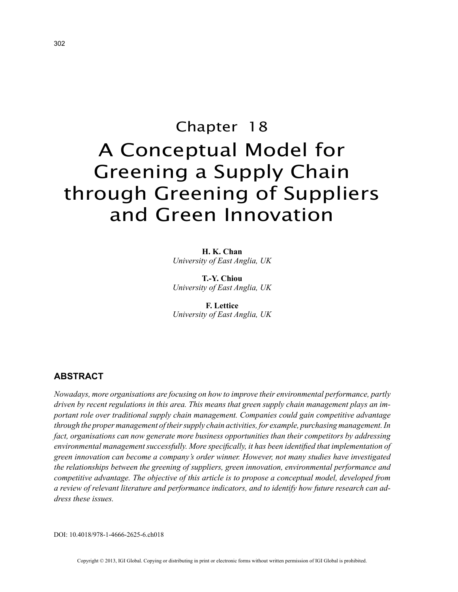# Chapter 18 A Conceptual Model for Greening a Supply Chain through Greening of Suppliers and Green Innovation

**H. K. Chan** *University of East Anglia, UK*

**T.-Y. Chiou** *University of East Anglia, UK*

**F. Lettice** *University of East Anglia, UK*

## **ABSTRACT**

*Nowadays, more organisations are focusing on how to improve their environmental performance, partly driven by recent regulations in this area. This means that green supply chain management plays an important role over traditional supply chain management. Companies could gain competitive advantage through the proper management of their supply chain activities, for example, purchasing management. In fact, organisations can now generate more business opportunities than their competitors by addressing environmental management successfully. More specifically, it has been identified that implementation of green innovation can become a company's order winner. However, not many studies have investigated the relationships between the greening of suppliers, green innovation, environmental performance and competitive advantage. The objective of this article is to propose a conceptual model, developed from a review of relevant literature and performance indicators, and to identify how future research can address these issues.*

DOI: 10.4018/978-1-4666-2625-6.ch018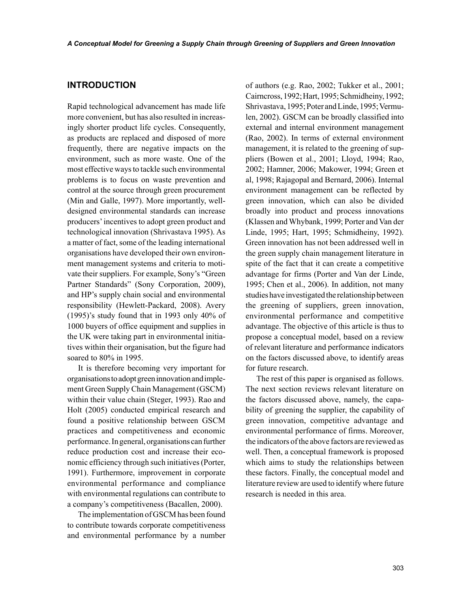### **INTRODUCTION**

Rapid technological advancement has made life more convenient, but has also resulted in increasingly shorter product life cycles. Consequently, as products are replaced and disposed of more frequently, there are negative impacts on the environment, such as more waste. One of the most effective ways to tackle such environmental problems is to focus on waste prevention and control at the source through green procurement (Min and Galle, 1997). More importantly, welldesigned environmental standards can increase producers' incentives to adopt green product and technological innovation (Shrivastava 1995). As a matter of fact, some of the leading international organisations have developed their own environment management systems and criteria to motivate their suppliers. For example, Sony's "Green Partner Standards" (Sony Corporation, 2009), and HP's supply chain social and environmental responsibility (Hewlett-Packard, 2008). Avery (1995)'s study found that in 1993 only 40% of 1000 buyers of office equipment and supplies in the UK were taking part in environmental initiatives within their organisation, but the figure had soared to 80% in 1995.

It is therefore becoming very important for organisations to adopt green innovation and implement Green Supply Chain Management (GSCM) within their value chain (Steger, 1993). Rao and Holt (2005) conducted empirical research and found a positive relationship between GSCM practices and competitiveness and economic performance. In general, organisations can further reduce production cost and increase their economic efficiency through such initiatives (Porter, 1991). Furthermore, improvement in corporate environmental performance and compliance with environmental regulations can contribute to a company's competitiveness (Bacallen, 2000).

The implementation of GSCM has been found to contribute towards corporate competitiveness and environmental performance by a number of authors (e.g. Rao, 2002; Tukker et al., 2001; Cairncross, 1992; Hart, 1995; Schmidheiny, 1992; Shrivastava, 1995; Poter and Linde, 1995; Vermulen, 2002). GSCM can be broadly classified into external and internal environment management (Rao, 2002). In terms of external environment management, it is related to the greening of suppliers (Bowen et al., 2001; Lloyd, 1994; Rao, 2002; Hamner, 2006; Makower, 1994; Green et al, 1998; Rajagopal and Bernard, 2006). Internal environment management can be reflected by green innovation, which can also be divided broadly into product and process innovations (Klassen and Whybank, 1999; Porter and Van der Linde, 1995; Hart, 1995; Schmidheiny, 1992). Green innovation has not been addressed well in the green supply chain management literature in spite of the fact that it can create a competitive advantage for firms (Porter and Van der Linde, 1995; Chen et al., 2006). In addition, not many studies have investigated the relationship between the greening of suppliers, green innovation, environmental performance and competitive advantage. The objective of this article is thus to propose a conceptual model, based on a review of relevant literature and performance indicators on the factors discussed above, to identify areas for future research.

The rest of this paper is organised as follows. The next section reviews relevant literature on the factors discussed above, namely, the capability of greening the supplier, the capability of green innovation, competitive advantage and environmental performance of firms. Moreover, the indicators of the above factors are reviewed as well. Then, a conceptual framework is proposed which aims to study the relationships between these factors. Finally, the conceptual model and literature review are used to identify where future research is needed in this area.